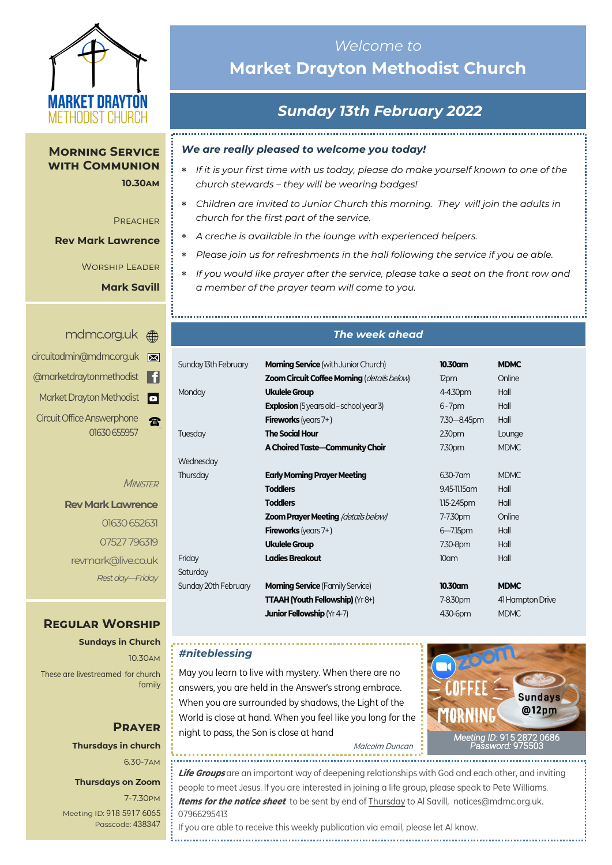

**Morning Service with Communion 10.30am**

**PREACHER** 

**Rev Mark Lawrence**

Worship Leader

**Mark Savill**

i.........

|                | mdmc.org.uk A                                     |
|----------------|---------------------------------------------------|
| ⊠              | circuitadmin@mdmc.org.uk                          |
| H              | @marketdraytonmethodist                           |
| $\blacksquare$ | Market Drayton Methodist                          |
|                | <b>Circuit Office Answerphone</b><br>01630 655957 |

**MINISTER** 

**Rev Mark Lawrence** 01630 652631 07527 796319 revmark@live.co.uk *Rest day—Friday*

#### **Regular Worship**

**Sundays in Church** 10.30am These are livestreamed for church family

> **Prayer Thursdays in church** 6.30-7am

#### **Thursdays on Zoom**

7-7.30pm [Meeting ID:](https://us04web.zoom.us/j/77138650306?fbclid=IwAR1B778-w3GWZgDnAqUFq-X6hXjzASNTsZuRIt4kZ4Cpyur_3CO2EGlBBwY#success) 918 5917 6065 Passcode: 438347

# *Welcome to*  **Market Drayton Methodist Church**

# *Sunday 13th February 2022*

#### *We are really pleased to welcome you today!*

- *If it is your first time with us today, please do make yourself known to one of the church stewards – they will be wearing badges!*
- *Children are invited to Junior Church this morning. They will join the adults in church for the first part of the service.*
- *A creche is available in the lounge with experienced helpers.*
- *Please join us for refreshments in the hall following the service if you ae able.*
- *If you would like prayer after the service, please take a seat on the front row and a member of the prayer team will come to you.*

#### *The week ahead*

| Sunday 13th February | <b>Morning Service</b> (with Junior Church)        | 10.30am          | <b>MDMC</b>      |
|----------------------|----------------------------------------------------|------------------|------------------|
|                      | <b>Zoom Circuit Coffee Morning (details below)</b> | 12pm             | Online           |
| Monday               | <b>Ukulele Group</b>                               | 4-4.30pm         | Hall             |
|                      | <b>Explosion</b> (5 years old – school year 3)     | $6 - 7$ pm       | Hall             |
|                      | <b>Fireworks</b> (years $7+$ )                     | 7.30-8.45pm      | Hall             |
| <b>Tuesday</b>       | <b>The Social Hour</b>                             | 2.30pm           | Lounge           |
|                      | A Choired Taste-Community Choir                    | 7.30pm           | <b>MDMC</b>      |
| Wednesday            |                                                    |                  |                  |
| Thursday             | <b>Early Morning Prayer Meeting</b>                | 6.30-7 am        | <b>MDMC</b>      |
|                      | <b>Toddlers</b>                                    | 9.45-11.15 am    | Hall             |
|                      | <b>Toddlers</b>                                    | $1.15 - 2.45$ pm | Hall             |
|                      | <b>Zoom Prayer Meeting (details below)</b>         | 7-7.30pm         | Online           |
|                      | <b>Fireworks</b> (years $7+$ )                     | $6 - 7.15$ pm    | Hall             |
|                      | <b>Ukulele Group</b>                               | 7.30-8pm         | Hall             |
| Friday               | <b>Ladies Breakout</b>                             | 10am             | Hall             |
| Saturday             |                                                    |                  |                  |
| Sunday 20th February | <b>Morning Service (Family Service)</b>            | 10.30am          | <b>MDMC</b>      |
|                      | <b>TTAAH (Youth Fellowship)</b> ( $Yr8+$ )         | 7-8.30pm         | 41 Hampton Drive |
|                      | <b>Junior Fellowship (Yr 4-7)</b>                  | 4.30-6pm         | <b>MDMC</b>      |

#### *#niteblessing*

May you learn to live with mystery. When there are no answers, you are held in the Answer's strong embrace. When you are surrounded by shadows, the Light of the World is close at hand. When you feel like you long for the night to pass, the Son is close at hand



Malcolm Duncan

**Life Groups** are an important way of deepening relationships with God and each other, and inviting people to meet Jesus. If you are interested in joining a life group, please speak to Pete Williams. **Items for the notice sheet** to be sent by end of Thursday to Al Savill, notices@mdmc.org.uk. 07966295413 If you are able to receive this weekly publication via email, please let Al know.